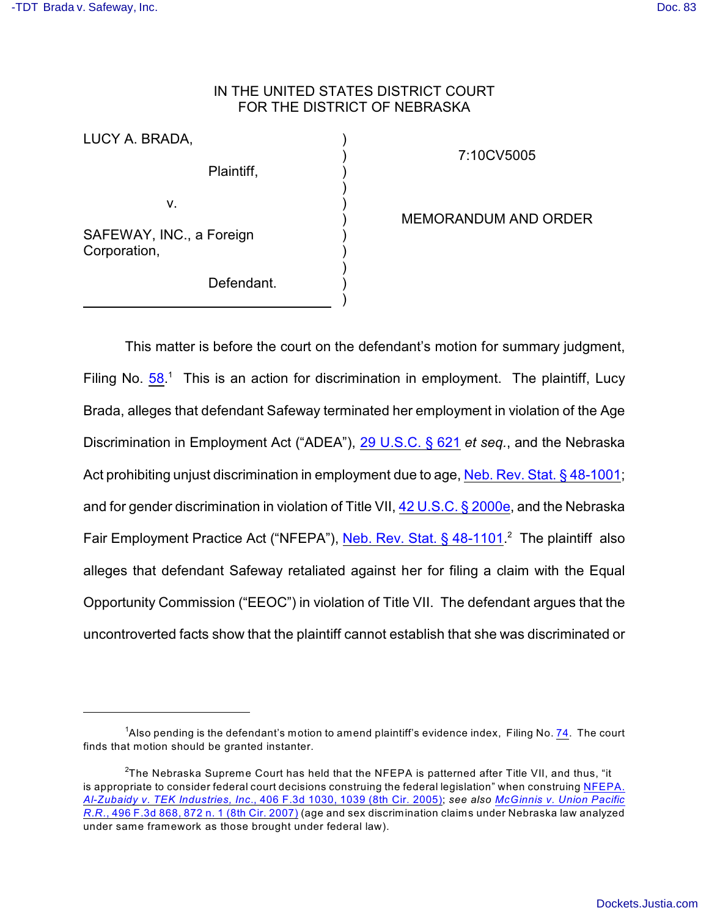# IN THE UNITED STATES DISTRICT COURT FOR THE DISTRICT OF NEBRASKA

) ) ) ) ) ) ) ) ) ) )

LUCY A. BRADA,

Plaintiff,

v.

SAFEWAY, INC., a Foreign Corporation,

Defendant.

7:10CV5005

MEMORANDUM AND ORDER

This matter is before the court on the defendant's motion for summary judgment, Filing No.  $58<sup>1</sup>$  $58<sup>1</sup>$  This is an action for discrimination in employment. The plaintiff, Lucy Brada, alleges that defendant Safeway terminated her employment in violation of the Age Discrimination in Employment Act ("ADEA"), [29 U.S.C. § 621](http://www.westlaw.com/find/default.wl?rs=CLWP3.0&vr=2.0&cite=29+USCA+s+621) *et seq.*, and the Nebraska Act prohibiting unjust discrimination in employment due to age, [Neb. Rev. Stat. § 48-1001](http://www.westlaw.com/find/default.wl?rs=CLWP3.0&vr=2.0&cite=NE+ST+s+48-1001); and for gender discrimination in violation of Title VII, [42 U.S.C. § 2000e](http://www.westlaw.com/find/default.wl?rs=CLWP3.0&vr=2.0&cite=42+USCA+s+2000e), and the Nebraska Fair Employment Practice Act ("NFEPA"), Neb. Rev. Stat.  $\S$  48-1101.<sup>2</sup> The plaintiff also alleges that defendant Safeway retaliated against her for filing a claim with the Equal Opportunity Commission ("EEOC") in violation of Title VII. The defendant argues that the uncontroverted facts show that the plaintiff cannot establish that she was discriminated or

<sup>&</sup>lt;sup>1</sup>Also pending is the defendant's motion to amend plaintiff's evidence index, Filing No. [74](http://ecf.ned.uscourts.gov/doc1/11302241764). The court finds that motion should be granted instanter.

 $^2$ The Nebraska Supreme Court has held that the NFEPA is patterned after Title VII, and thus, "it is appropriate to consider federal court decisions construing the federal legislation" when construing [NFEPA.](http://www.westlaw.com/find/default.wl?rs=CLWP3.0&vr=2.0&cite=406+F.3d+1030) *[Al-Zubaidy v. TEK Industries, Inc](http://www.westlaw.com/find/default.wl?rs=CLWP3.0&vr=2.0&cite=406+F.3d+1030)*., 406 F.3d 1030, 1039 (8th Cir. 2005); *see also [McGinnis v. Union Pacific](http://www.westlaw.com/find/default.wl?rs=CLWP3.0&vr=2.0&cite=496+F.3d+868) R.R.*[, 496 F.3d 868, 872 n. 1 \(8th Cir. 2007\)](http://www.westlaw.com/find/default.wl?rs=CLWP3.0&vr=2.0&cite=496+F.3d+868) (age and sex discrimination claims under Nebraska law analyzed under same framework as those brought under federal law).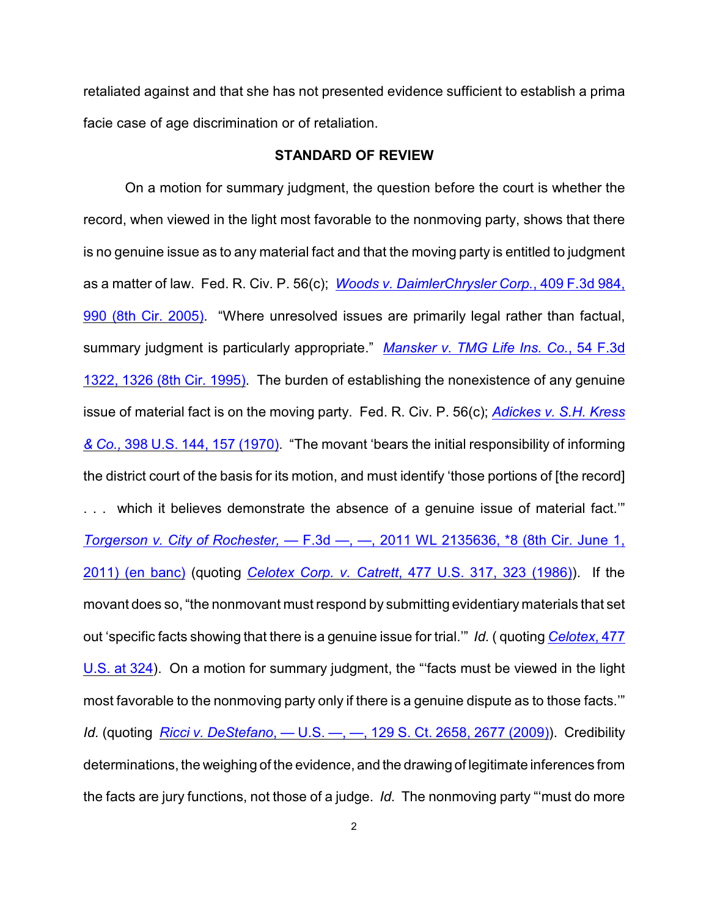retaliated against and that she has not presented evidence sufficient to establish a prima facie case of age discrimination or of retaliation.

## **STANDARD OF REVIEW**

On a motion for summary judgment, the question before the court is whether the record, when viewed in the light most favorable to the nonmoving party, shows that there is no genuine issue as to any material fact and that the moving party is entitled to judgment as a matter of law. Fed. R. Civ. P. 56(c); *[Woods v. DaimlerChrysler Corp.](http://www.westlaw.com/find/default.wl?rs=CLWP3.0&vr=2.0&cite=409+F.3d+984)*, 409 F.3d 984, [990 \(8th Cir. 2005\)](http://www.westlaw.com/find/default.wl?rs=CLWP3.0&vr=2.0&cite=409+F.3d+984). "Where unresolved issues are primarily legal rather than factual, summary judgment is particularly appropriate." *[Mansker v. TMG Life Ins. Co.](http://www.westlaw.com/find/default.wl?rs=CLWP3.0&vr=2.0&cite=54+F.3d+1322)*, 54 F.3d [1322, 1326 \(8th Cir. 1995\)](http://www.westlaw.com/find/default.wl?rs=CLWP3.0&vr=2.0&cite=54+F.3d+1322). The burden of establishing the nonexistence of any genuine issue of material fact is on the moving party. Fed. R. Civ. P. 56(c); *[Adickes v. S.H. Kress](http://www.westlaw.com/find/default.wl?rs=CLWP3.0&vr=2.0&cite=398+U.S.+144) & Co.,* [398 U.S. 144, 157 \(1970\)](http://www.westlaw.com/find/default.wl?rs=CLWP3.0&vr=2.0&cite=398+U.S.+144). "The movant 'bears the initial responsibility of informing the district court of the basis for its motion, and must identify 'those portions of [the record] which it believes demonstrate the absence of a genuine issue of material fact." *[Torgerson v. City of Rochester,](http://www.westlaw.com/find/default.wl?rs=CLWP3.0&vr=2.0&cite=2011+WL+2135636)* — F.3d —, —, 2011 WL 2135636, \*8 (8th Cir. June 1, [2011\) \(en banc\)](http://www.westlaw.com/find/default.wl?rs=CLWP3.0&vr=2.0&cite=2011+WL+2135636) (quoting *Celotex Corp. v. Catrett*[, 477 U.S. 317, 323 \(1986\)](http://www.westlaw.com/find/default.wl?rs=CLWP3.0&vr=2.0&cite=477+U.S.+317)). If the movant does so, "the nonmovant must respond by submitting evidentiary materials that set out 'specific facts showing that there is a genuine issue for trial.'" *Id.* ( quoting *[Celotex](http://www.westlaw.com/find/default.wl?rs=CLWP3.0&vr=2.0&cite=477+U.S.+324)*, 477 [U.S. at 324](http://www.westlaw.com/find/default.wl?rs=CLWP3.0&vr=2.0&cite=477+U.S.+324)). On a motion for summary judgment, the "'facts must be viewed in the light most favorable to the nonmoving party only if there is a genuine dispute as to those facts.'" *Id.* (quoting *Ricci v. DeStefano*[, — U.S. —, —, 129 S. Ct. 2658, 2677 \(2009\)](http://www.westlaw.com/find/default.wl?rs=CLWP3.0&vr=2.0&cite=129+S.Ct.+2658)). Credibility determinations, the weighing of the evidence, and the drawing of legitimate inferences from the facts are jury functions, not those of a judge. *Id.* The nonmoving party "'must do more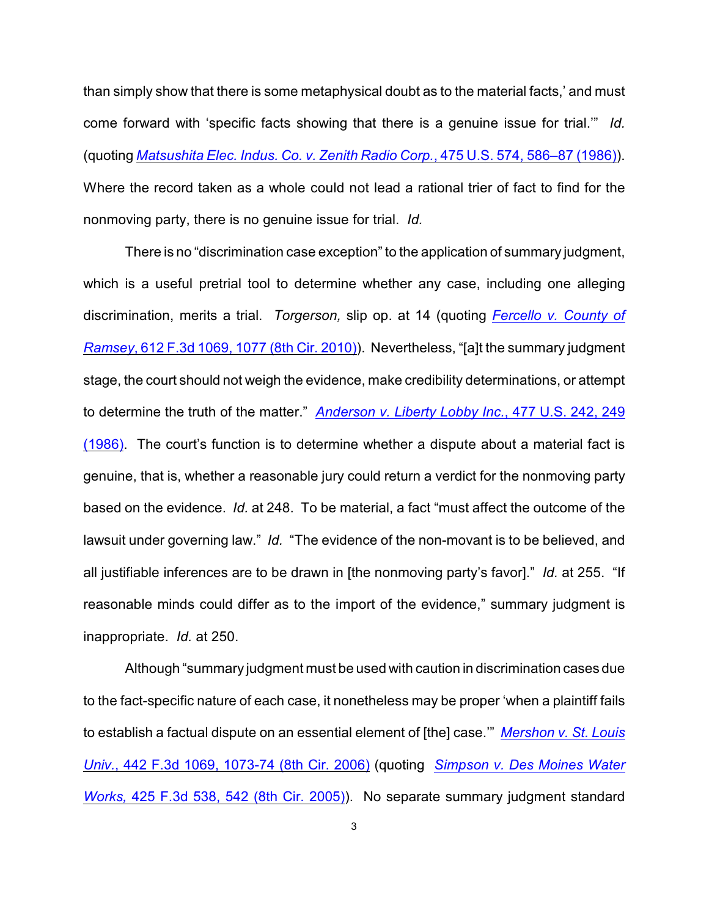than simply show that there is some metaphysical doubt as to the material facts,' and must come forward with 'specific facts showing that there is a genuine issue for trial.'" *Id.* (quoting *[Matsushita Elec. Indus. Co. v. Zenith Radio Corp.](http://www.westlaw.com/find/default.wl?rs=CLWP3.0&vr=2.0&cite=475+U.S.+574)*, 475 U.S. 574, 586–87 (1986)). Where the record taken as a whole could not lead a rational trier of fact to find for the nonmoving party, there is no genuine issue for trial. *Id.*

There is no "discrimination case exception" to the application of summary judgment, which is a useful pretrial tool to determine whether any case, including one alleging discrimination, merits a trial. *Torgerson,* slip op. at 14 (quoting *[Fercello v. County of](http://www.westlaw.com/find/default.wl?rs=CLWP3.0&vr=2.0&cite=612+F.3d+1069) Ramsey*[, 612 F.3d 1069, 1077 \(8th Cir. 2010\)](http://www.westlaw.com/find/default.wl?rs=CLWP3.0&vr=2.0&cite=612+F.3d+1069)). Nevertheless, "[a]t the summary judgment stage, the court should not weigh the evidence, make credibility determinations, or attempt to determine the truth of the matter." *[Anderson v. Liberty Lobby Inc.](http://www.westlaw.com/find/default.wl?rs=CLWP3.0&vr=2.0&cite=477+U.S.+242)*, 477 U.S. 242, 249 [\(1986\)](http://www.westlaw.com/find/default.wl?rs=CLWP3.0&vr=2.0&cite=477+U.S.+242). The court's function is to determine whether a dispute about a material fact is genuine, that is, whether a reasonable jury could return a verdict for the nonmoving party based on the evidence. *Id.* at 248. To be material, a fact "must affect the outcome of the lawsuit under governing law." *Id.* "The evidence of the non-movant is to be believed, and all justifiable inferences are to be drawn in [the nonmoving party's favor]." *Id.* at 255. "If reasonable minds could differ as to the import of the evidence," summary judgment is inappropriate. *Id.* at 250.

Although "summary judgment must be used with caution in discrimination cases due to the fact-specific nature of each case, it nonetheless may be proper 'when a plaintiff fails to establish a factual dispute on an essential element of [the] case.'" *[Mershon v. St. Louis](http://www.westlaw.com/find/default.wl?rs=CLWP3.0&vr=2.0&cite=442+F.3d+1069) Univ.*[, 442 F.3d 1069, 1073-74 \(8th Cir. 2006\)](http://www.westlaw.com/find/default.wl?rs=CLWP3.0&vr=2.0&cite=442+F.3d+1069) (quoting *[Simpson v. Des Moines Water](http://www.westlaw.com/find/default.wl?rs=CLWP3.0&vr=2.0&cite=425+F.3d+538) Works,* [425 F.3d 538, 542 \(8th Cir. 2005\)](http://www.westlaw.com/find/default.wl?rs=CLWP3.0&vr=2.0&cite=425+F.3d+538)). No separate summary judgment standard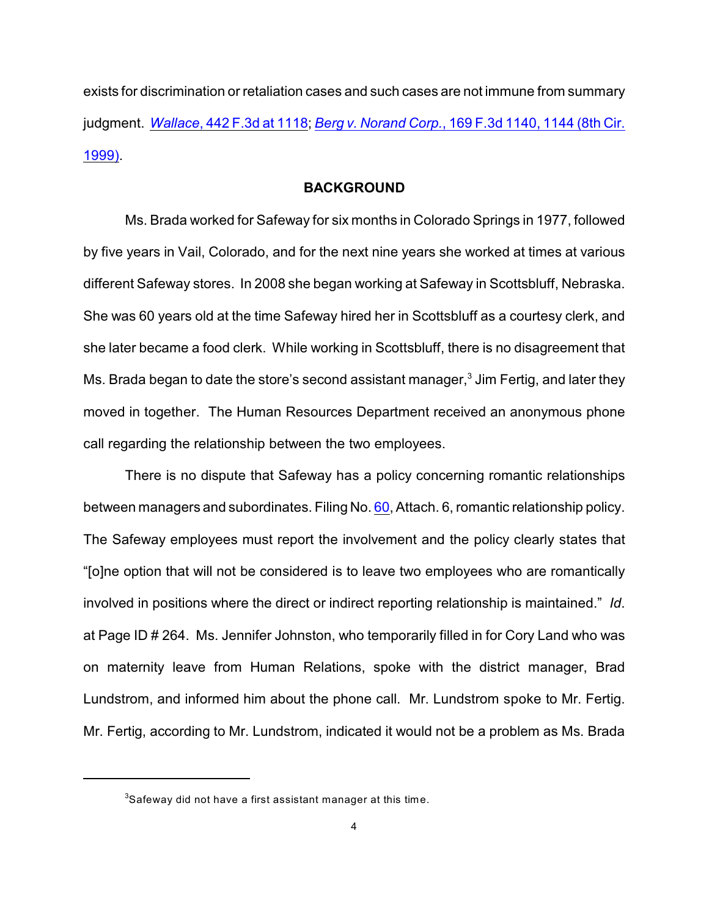exists for discrimination or retaliation cases and such cases are not immune from summary judgment. *Wallace*, 442 [F.3d at 1118](http://www.westlaw.com/find/default.wl?rs=CLWP3.0&vr=2.0&cite=442+F.3d+1118); *Berg v. Norand Corp.*[, 169 F.3d 1140, 1144 \(8th Cir.](http://www.westlaw.com/find/default.wl?rs=CLWP3.0&vr=2.0&cite=169+F.3d+1140) [1999\)](http://www.westlaw.com/find/default.wl?rs=CLWP3.0&vr=2.0&cite=169+F.3d+1140).

## **BACKGROUND**

Ms. Brada worked for Safeway for six months in Colorado Springs in 1977, followed by five years in Vail, Colorado, and for the next nine years she worked at times at various different Safeway stores. In 2008 she began working at Safeway in Scottsbluff, Nebraska. She was 60 years old at the time Safeway hired her in Scottsbluff as a courtesy clerk, and she later became a food clerk. While working in Scottsbluff, there is no disagreement that Ms. Brada began to date the store's second assistant manager, $3$  Jim Fertig, and later they moved in together. The Human Resources Department received an anonymous phone call regarding the relationship between the two employees.

There is no dispute that Safeway has a policy concerning romantic relationships between managers and subordinates. Filing No. [60](http://ecf.ned.uscourts.gov/doc1/11302223030), Attach. 6, romantic relationship policy. The Safeway employees must report the involvement and the policy clearly states that "[o]ne option that will not be considered is to leave two employees who are romantically involved in positions where the direct or indirect reporting relationship is maintained." *Id*. at Page ID # 264. Ms. Jennifer Johnston, who temporarily filled in for Cory Land who was on maternity leave from Human Relations, spoke with the district manager, Brad Lundstrom, and informed him about the phone call. Mr. Lundstrom spoke to Mr. Fertig. Mr. Fertig, according to Mr. Lundstrom, indicated it would not be a problem as Ms. Brada

 ${}^{3}$ Safeway did not have a first assistant manager at this time.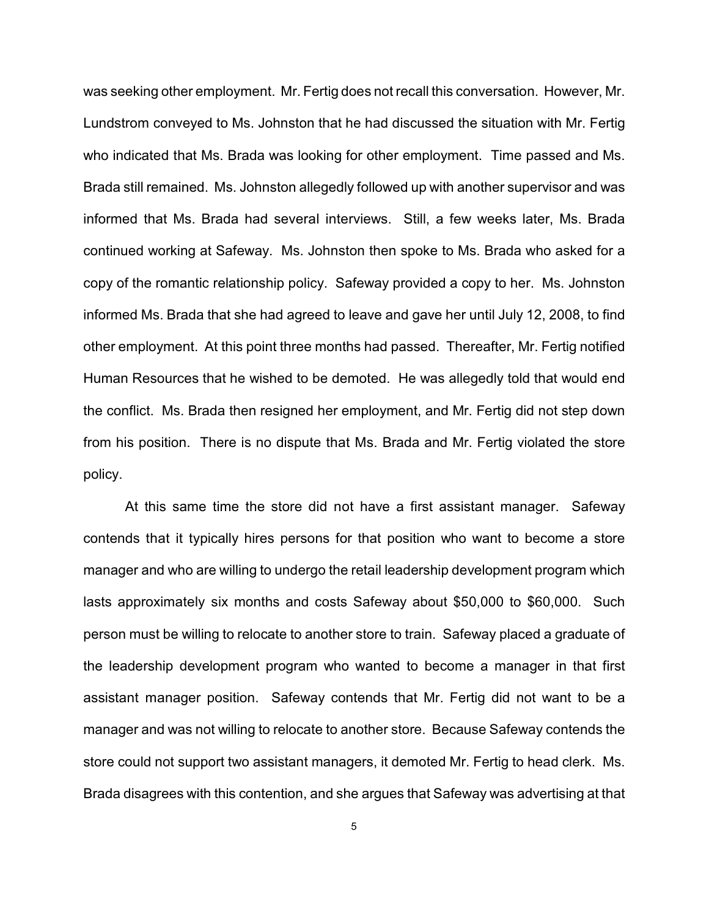was seeking other employment. Mr. Fertig does not recall this conversation. However, Mr. Lundstrom conveyed to Ms. Johnston that he had discussed the situation with Mr. Fertig who indicated that Ms. Brada was looking for other employment. Time passed and Ms. Brada still remained. Ms. Johnston allegedly followed up with another supervisor and was informed that Ms. Brada had several interviews. Still, a few weeks later, Ms. Brada continued working at Safeway. Ms. Johnston then spoke to Ms. Brada who asked for a copy of the romantic relationship policy. Safeway provided a copy to her. Ms. Johnston informed Ms. Brada that she had agreed to leave and gave her until July 12, 2008, to find other employment. At this point three months had passed. Thereafter, Mr. Fertig notified Human Resources that he wished to be demoted. He was allegedly told that would end the conflict. Ms. Brada then resigned her employment, and Mr. Fertig did not step down from his position. There is no dispute that Ms. Brada and Mr. Fertig violated the store policy.

At this same time the store did not have a first assistant manager. Safeway contends that it typically hires persons for that position who want to become a store manager and who are willing to undergo the retail leadership development program which lasts approximately six months and costs Safeway about \$50,000 to \$60,000. Such person must be willing to relocate to another store to train. Safeway placed a graduate of the leadership development program who wanted to become a manager in that first assistant manager position. Safeway contends that Mr. Fertig did not want to be a manager and was not willing to relocate to another store. Because Safeway contends the store could not support two assistant managers, it demoted Mr. Fertig to head clerk. Ms. Brada disagrees with this contention, and she argues that Safeway was advertising at that

5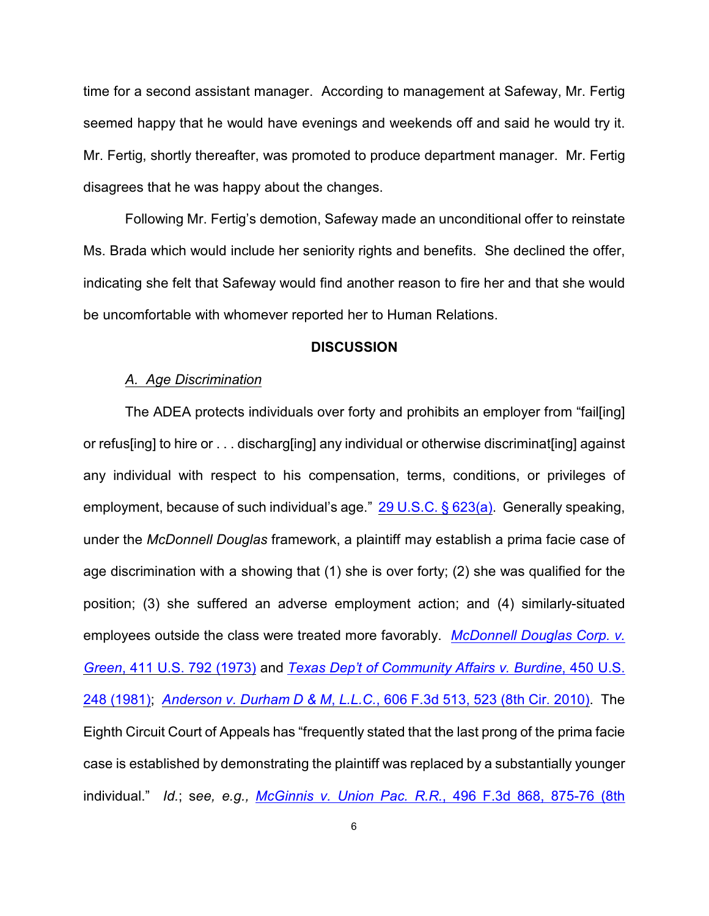time for a second assistant manager. According to management at Safeway, Mr. Fertig seemed happy that he would have evenings and weekends off and said he would try it. Mr. Fertig, shortly thereafter, was promoted to produce department manager. Mr. Fertig disagrees that he was happy about the changes.

Following Mr. Fertig's demotion, Safeway made an unconditional offer to reinstate Ms. Brada which would include her seniority rights and benefits. She declined the offer, indicating she felt that Safeway would find another reason to fire her and that she would be uncomfortable with whomever reported her to Human Relations.

#### **DISCUSSION**

#### *A. Age Discrimination*

The ADEA protects individuals over forty and prohibits an employer from "fail[ing] or refus[ing] to hire or . . . discharg[ing] any individual or otherwise discriminat[ing] against any individual with respect to his compensation, terms, conditions, or privileges of employment, because of such individual's age." [29 U.S.C. § 623\(a\)](http://www.westlaw.com/find/default.wl?rs=CLWP3.0&vr=2.0&cite=29+USCA+s+623%28a%29). Generally speaking, under the *McDonnell Douglas* framework, a plaintiff may establish a prima facie case of age discrimination with a showing that (1) she is over forty; (2) she was qualified for the position; (3) she suffered an adverse employment action; and (4) similarly-situated employees outside the class were treated more favorably. *[McDonnell Douglas Corp. v.](http://www.westlaw.com/find/default.wl?rs=CLWP3.0&vr=2.0&cite=411+U.S.+792) Green*[, 411 U.S. 792 \(1973\)](http://www.westlaw.com/find/default.wl?rs=CLWP3.0&vr=2.0&cite=411+U.S.+792) and *[Texas Dep't of Community Affairs v. Burdine](http://www.westlaw.com/find/default.wl?rs=CLWP3.0&vr=2.0&cite=450+U.S.+248)*, 450 U.S. [248 \(1981\)](http://www.westlaw.com/find/default.wl?rs=CLWP3.0&vr=2.0&cite=450+U.S.+248); *Anderson v. Durham D & M*, *L.L.C.*[, 606 F.3d 513, 523 \(8th Cir. 2010\)](http://www.westlaw.com/find/default.wl?rs=CLWP3.0&vr=2.0&cite=606+F.3d+513). The Eighth Circuit Court of Appeals has "frequently stated that the last prong of the prima facie case is established by demonstrating the plaintiff was replaced by a substantially younger individual." *Id.*; s*ee, e.g., [McGinnis v. Union Pac. R.R.](http://www.westlaw.com/find/default.wl?rs=CLWP3.0&vr=2.0&cite=496+F.3d+868)*, 496 F.3d 868, 875-76 (8th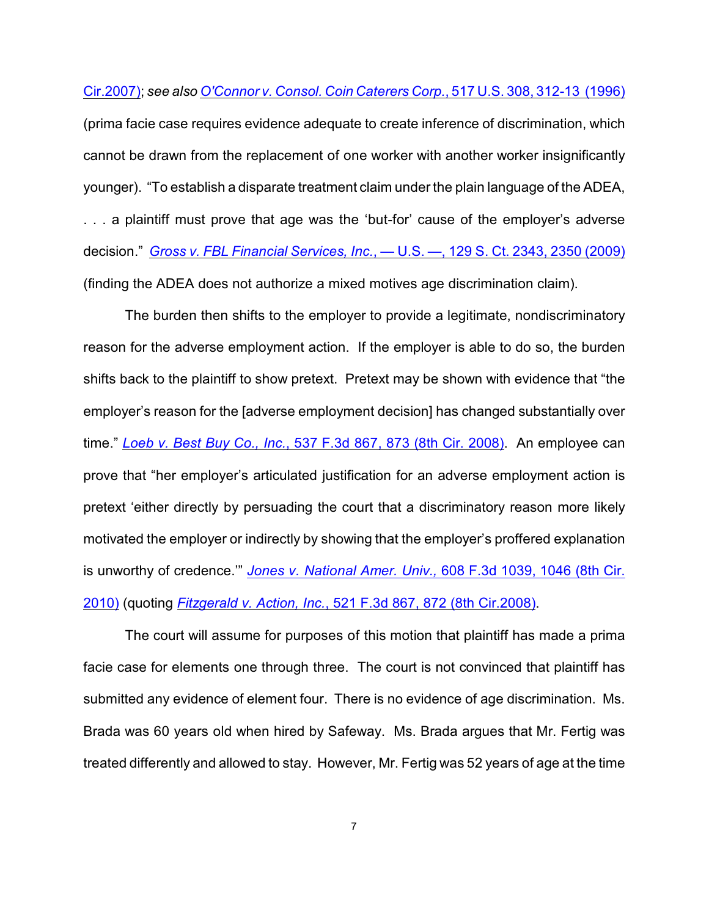Cir.2007); *see also [O'Connor v. Consol. Coin Caterers Corp.](http://www.westlaw.com/find/default.wl?rs=CLWP3.0&vr=2.0&cite=517+U.S.+308)*, 517 U.S. 308, 312-13 (1996)

(prima facie case requires evidence adequate to create inference of discrimination, which cannot be drawn from the replacement of one worker with another worker insignificantly younger). "To establish a disparate treatment claim under the plain language of the ADEA, . . . a plaintiff must prove that age was the 'but-for' cause of the employer's adverse decision." *Gross v. FBL Financial Services, Inc.*[, — U.S. —, 129 S. Ct. 2343, 2350 \(2009\)](http://www.westlaw.com/find/default.wl?rs=CLWP3.0&vr=2.0&cite=129+S.Ct.+2343) (finding the ADEA does not authorize a mixed motives age discrimination claim).

The burden then shifts to the employer to provide a legitimate, nondiscriminatory reason for the adverse employment action. If the employer is able to do so, the burden shifts back to the plaintiff to show pretext. Pretext may be shown with evidence that "the employer's reason for the [adverse employment decision] has changed substantially over time." *Loeb v. Best Buy Co., Inc.*[, 537 F.3d 867, 873 \(8th Cir. 2008\)](http://www.westlaw.com/find/default.wl?rs=CLWP3.0&vr=2.0&cite=537+F.3d+867). An employee can prove that "her employer's articulated justification for an adverse employment action is pretext 'either directly by persuading the court that a discriminatory reason more likely motivated the employer or indirectly by showing that the employer's proffered explanation is unworthy of credence.'" *[Jones v. National Amer. Univ.,](http://www.westlaw.com/find/default.wl?rs=CLWP3.0&vr=2.0&cite=608+F.3d+1039)* 608 F.3d 1039, 1046 (8th Cir. [2010\)](http://www.westlaw.com/find/default.wl?rs=CLWP3.0&vr=2.0&cite=608+F.3d+1039) (quoting *Fitzgerald v. Action, Inc.*[, 521 F.3d 867, 872 \(8th Cir.2008\)](http://www.westlaw.com/find/default.wl?rs=CLWP3.0&vr=2.0&cite=521+F.3d+867).

The court will assume for purposes of this motion that plaintiff has made a prima facie case for elements one through three. The court is not convinced that plaintiff has submitted any evidence of element four. There is no evidence of age discrimination. Ms. Brada was 60 years old when hired by Safeway. Ms. Brada argues that Mr. Fertig was treated differently and allowed to stay. However, Mr. Fertig was 52 years of age at the time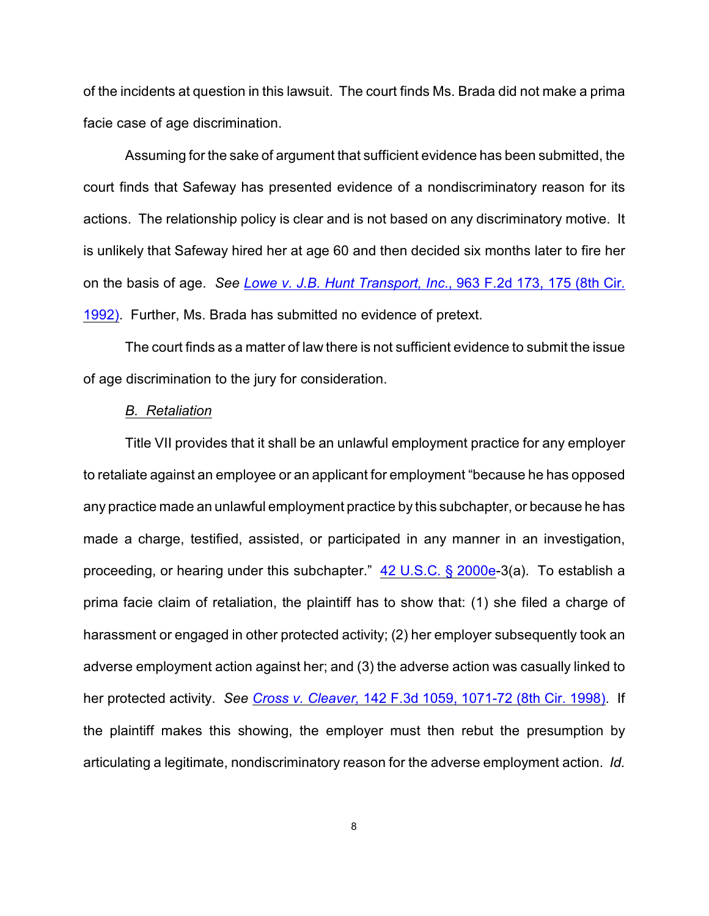of the incidents at question in this lawsuit. The court finds Ms. Brada did not make a prima facie case of age discrimination.

Assuming for the sake of argument that sufficient evidence has been submitted, the court finds that Safeway has presented evidence of a nondiscriminatory reason for its actions. The relationship policy is clear and is not based on any discriminatory motive. It is unlikely that Safeway hired her at age 60 and then decided six months later to fire her on the basis of age. *See [Lowe v. J.B. Hunt Transport, Inc](http://www.westlaw.com/find/default.wl?rs=CLWP3.0&vr=2.0&cite=963+F.2d+173)*., 963 F.2d 173, 175 (8th Cir. [1992\)](http://www.westlaw.com/find/default.wl?rs=CLWP3.0&vr=2.0&cite=963+F.2d+173). Further, Ms. Brada has submitted no evidence of pretext.

The court finds as a matter of law there is not sufficient evidence to submit the issue of age discrimination to the jury for consideration.

#### *B. Retaliation*

Title VII provides that it shall be an unlawful employment practice for any employer to retaliate against an employee or an applicant for employment "because he has opposed any practice made an unlawful employment practice by this subchapter, or because he has made a charge, testified, assisted, or participated in any manner in an investigation, proceeding, or hearing under this subchapter." [42 U.S.C. § 2000e](http://www.westlaw.com/find/default.wl?rs=CLWP3.0&vr=2.0&cite=42+USCA+s+2000e)-3(a). To establish a prima facie claim of retaliation, the plaintiff has to show that: (1) she filed a charge of harassment or engaged in other protected activity; (2) her employer subsequently took an adverse employment action against her; and (3) the adverse action was casually linked to her protected activity. *See Cross v. Cleaver,* [142 F.3d 1059, 1071-72 \(8th Cir. 1998\)](http://www.westlaw.com/find/default.wl?rs=CLWP3.0&vr=2.0&cite=142+F.3d+1059). If the plaintiff makes this showing, the employer must then rebut the presumption by articulating a legitimate, nondiscriminatory reason for the adverse employment action. *Id.*

8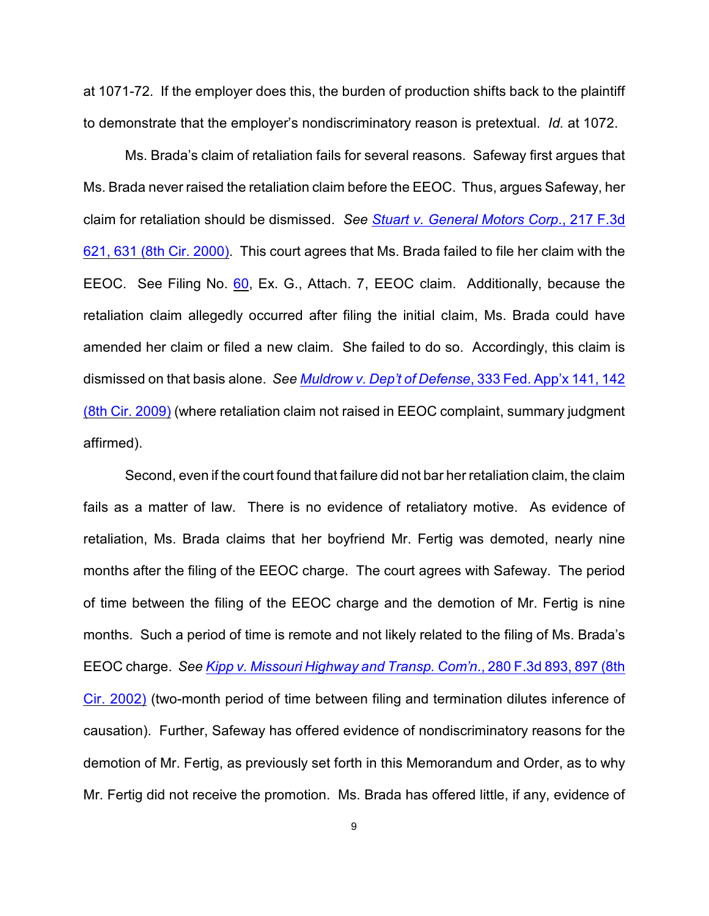at 1071-72. If the employer does this, the burden of production shifts back to the plaintiff to demonstrate that the employer's nondiscriminatory reason is pretextual. *Id.* at 1072.

Ms. Brada's claim of retaliation fails for several reasons. Safeway first argues that Ms. Brada never raised the retaliation claim before the EEOC. Thus, argues Safeway, her claim for retaliation should be dismissed. *See [Stuart v. General Motors Corp](http://www.westlaw.com/find/default.wl?rs=CLWP3.0&vr=2.0&cite=217+F.3d+621)*., 217 F.3d [621, 631 \(8th Cir. 2000\)](http://www.westlaw.com/find/default.wl?rs=CLWP3.0&vr=2.0&cite=217+F.3d+621). This court agrees that Ms. Brada failed to file her claim with the EEOC. See Filing No. [60](http://ecf.ned.uscourts.gov/doc1/11302223030), Ex. G., Attach. 7, EEOC claim. Additionally, because the retaliation claim allegedly occurred after filing the initial claim, Ms. Brada could have amended her claim or filed a new claim. She failed to do so. Accordingly, this claim is dismissed on that basis alone. *See [Muldrow v. Dep't of Defense](http://www.westlaw.com/find/default.wl?rs=CLWP3.0&vr=2.0&cite=333+Fed.Appx.+141)*, 333 Fed. App'x 141, 142 [\(8th Cir. 2009\)](http://www.westlaw.com/find/default.wl?rs=CLWP3.0&vr=2.0&cite=333+Fed.Appx.+141) (where retaliation claim not raised in EEOC complaint, summary judgment affirmed).

Second, even if the court found that failure did not bar her retaliation claim, the claim fails as a matter of law. There is no evidence of retaliatory motive. As evidence of retaliation, Ms. Brada claims that her boyfriend Mr. Fertig was demoted, nearly nine months after the filing of the EEOC charge. The court agrees with Safeway. The period of time between the filing of the EEOC charge and the demotion of Mr. Fertig is nine months. Such a period of time is remote and not likely related to the filing of Ms. Brada's EEOC charge. *See [Kipp v. Missouri Highway and Transp. Com'n](http://www.westlaw.com/find/default.wl?rs=CLWP3.0&vr=2.0&cite=280+F.3d+893)*., 280 F.3d 893, 897 (8th [Cir. 2002\)](http://www.westlaw.com/find/default.wl?rs=CLWP3.0&vr=2.0&cite=280+F.3d+893) (two-month period of time between filing and termination dilutes inference of causation). Further, Safeway has offered evidence of nondiscriminatory reasons for the demotion of Mr. Fertig, as previously set forth in this Memorandum and Order, as to why Mr. Fertig did not receive the promotion. Ms. Brada has offered little, if any, evidence of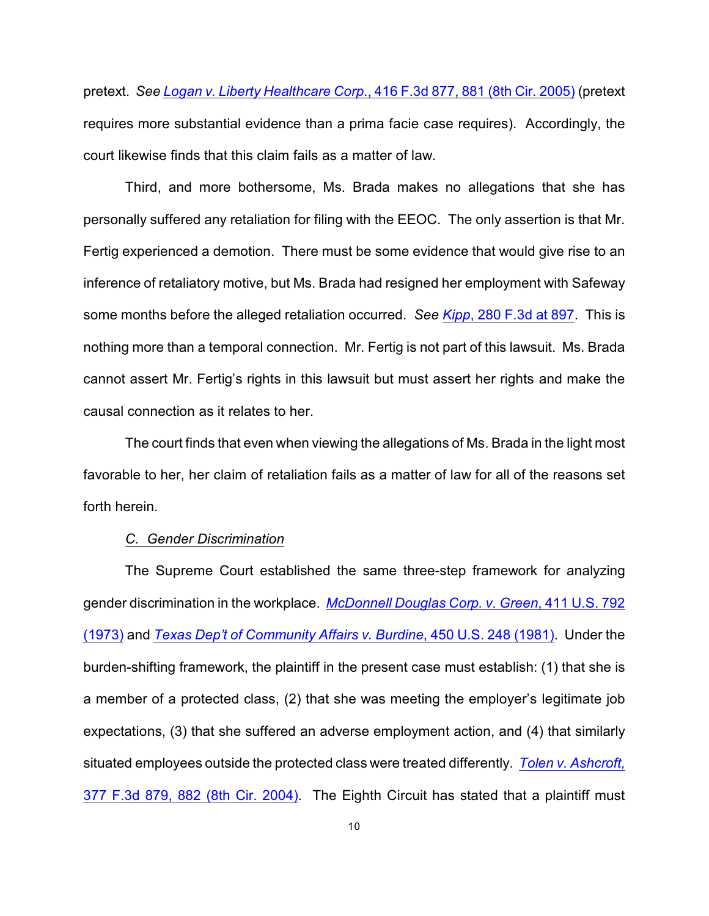pretext. *See Logan v. Liberty Healthcare Corp*[., 416 F.3d 877, 881 \(8th Cir. 2005\)](http://www.westlaw.com/find/default.wl?rs=CLWP3.0&vr=2.0&cite=416+F.3d+877) (pretext requires more substantial evidence than a prima facie case requires). Accordingly, the court likewise finds that this claim fails as a matter of law.

Third, and more bothersome, Ms. Brada makes no allegations that she has personally suffered any retaliation for filing with the EEOC. The only assertion is that Mr. Fertig experienced a demotion. There must be some evidence that would give rise to an inference of retaliatory motive, but Ms. Brada had resigned her employment with Safeway some months before the alleged retaliation occurred. *See Kipp*[, 280 F.3d at 897](http://www.westlaw.com/find/default.wl?rs=CLWP3.0&vr=2.0&cite=280+F.3d+897). This is nothing more than a temporal connection. Mr. Fertig is not part of this lawsuit. Ms. Brada cannot assert Mr. Fertig's rights in this lawsuit but must assert her rights and make the causal connection as it relates to her.

The court finds that even when viewing the allegations of Ms. Brada in the light most favorable to her, her claim of retaliation fails as a matter of law for all of the reasons set forth herein.

#### *C. Gender Discrimination*

The Supreme Court established the same three-step framework for analyzing gender discrimination in the workplace. *[McDonnell Douglas Corp. v. Green](http://www.westlaw.com/find/default.wl?rs=CLWP3.0&vr=2.0&cite=411+U.S.+792)*, 411 U.S. 792 [\(1973\)](http://www.westlaw.com/find/default.wl?rs=CLWP3.0&vr=2.0&cite=411+U.S.+792) and *[Texas Dep't of Community Affairs v. Burdine](http://www.westlaw.com/find/default.wl?rs=CLWP3.0&vr=2.0&cite=450+U.S.+248)*, 450 U.S. 248 (1981). Under the burden-shifting framework, the plaintiff in the present case must establish: (1) that she is a member of a protected class, (2) that she was meeting the employer's legitimate job expectations, (3) that she suffered an adverse employment action, and (4) that similarly situated employees outside the protected class were treated differently. *[Tolen v. Ashcroft,](http://www.westlaw.com/find/default.wl?rs=CLWP3.0&vr=2.0&cite=377+F.3d+879)* [377 F.3d 879, 882 \(8th Cir. 2004\)](http://www.westlaw.com/find/default.wl?rs=CLWP3.0&vr=2.0&cite=377+F.3d+879). The Eighth Circuit has stated that a plaintiff must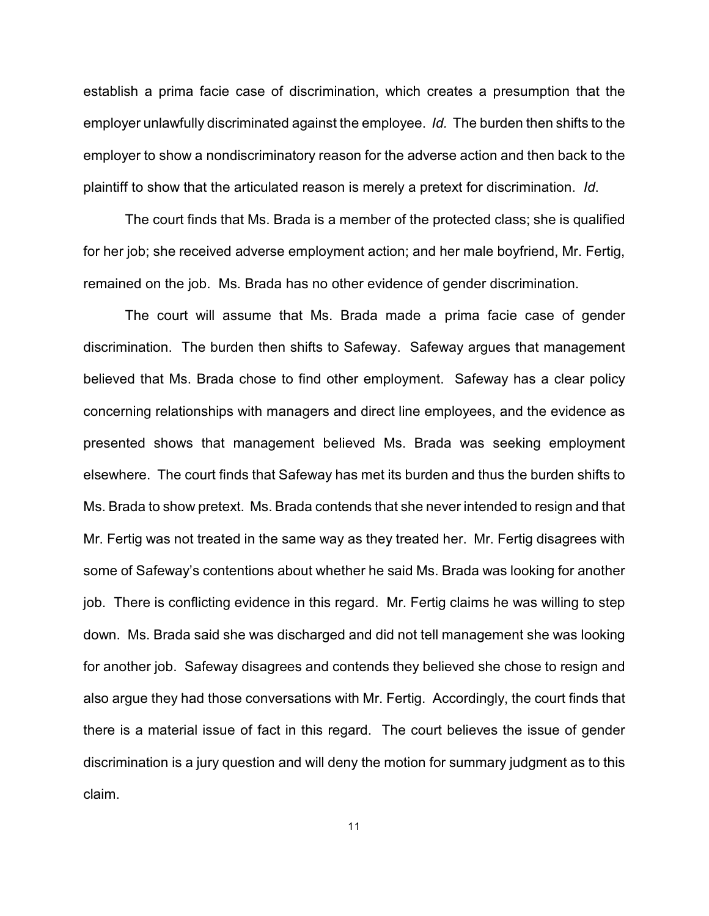establish a prima facie case of discrimination, which creates a presumption that the employer unlawfully discriminated against the employee. *Id.* The burden then shifts to the employer to show a nondiscriminatory reason for the adverse action and then back to the plaintiff to show that the articulated reason is merely a pretext for discrimination. *Id*.

The court finds that Ms. Brada is a member of the protected class; she is qualified for her job; she received adverse employment action; and her male boyfriend, Mr. Fertig, remained on the job. Ms. Brada has no other evidence of gender discrimination.

The court will assume that Ms. Brada made a prima facie case of gender discrimination. The burden then shifts to Safeway. Safeway argues that management believed that Ms. Brada chose to find other employment. Safeway has a clear policy concerning relationships with managers and direct line employees, and the evidence as presented shows that management believed Ms. Brada was seeking employment elsewhere. The court finds that Safeway has met its burden and thus the burden shifts to Ms. Brada to show pretext. Ms. Brada contends that she never intended to resign and that Mr. Fertig was not treated in the same way as they treated her. Mr. Fertig disagrees with some of Safeway's contentions about whether he said Ms. Brada was looking for another job. There is conflicting evidence in this regard. Mr. Fertig claims he was willing to step down. Ms. Brada said she was discharged and did not tell management she was looking for another job. Safeway disagrees and contends they believed she chose to resign and also argue they had those conversations with Mr. Fertig. Accordingly, the court finds that there is a material issue of fact in this regard. The court believes the issue of gender discrimination is a jury question and will deny the motion for summary judgment as to this claim.

11